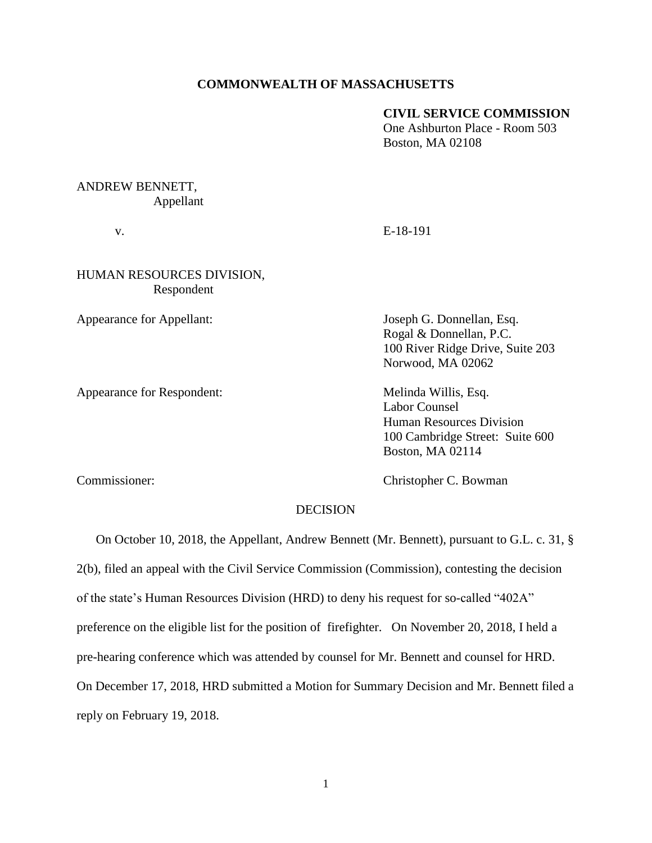### **COMMONWEALTH OF MASSACHUSETTS**

### **CIVIL SERVICE COMMISSION**

One Ashburton Place - Room 503 Boston, MA 02108

# ANDREW BENNETT, Appellant

v. E-18-191

## HUMAN RESOURCES DIVISION, Respondent

Appearance for Respondent: Melinda Willis, Esq.

Appearance for Appellant: Joseph G. Donnellan, Esq. Rogal & Donnellan, P.C. 100 River Ridge Drive, Suite 203 Norwood, MA 02062

> Labor Counsel Human Resources Division 100 Cambridge Street: Suite 600 Boston, MA 02114

Commissioner: Commissioner: Commissioner: C. Bowman

### DECISION

 On October 10, 2018, the Appellant, Andrew Bennett (Mr. Bennett), pursuant to G.L. c. 31, § 2(b), filed an appeal with the Civil Service Commission (Commission), contesting the decision of the state's Human Resources Division (HRD) to deny his request for so-called "402A" preference on the eligible list for the position of firefighter. On November 20, 2018, I held a

pre-hearing conference which was attended by counsel for Mr. Bennett and counsel for HRD.

On December 17, 2018, HRD submitted a Motion for Summary Decision and Mr. Bennett filed a

reply on February 19, 2018.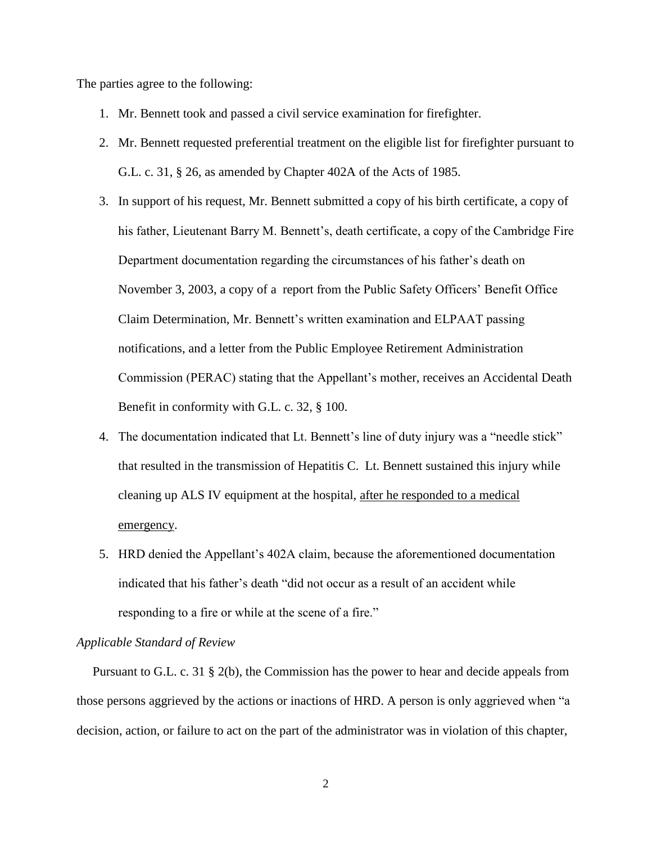The parties agree to the following:

- 1. Mr. Bennett took and passed a civil service examination for firefighter.
- 2. Mr. Bennett requested preferential treatment on the eligible list for firefighter pursuant to G.L. c. 31, § 26, as amended by Chapter 402A of the Acts of 1985.
- 3. In support of his request, Mr. Bennett submitted a copy of his birth certificate, a copy of his father, Lieutenant Barry M. Bennett's, death certificate, a copy of the Cambridge Fire Department documentation regarding the circumstances of his father's death on November 3, 2003, a copy of a report from the Public Safety Officers' Benefit Office Claim Determination, Mr. Bennett's written examination and ELPAAT passing notifications, and a letter from the Public Employee Retirement Administration Commission (PERAC) stating that the Appellant's mother, receives an Accidental Death Benefit in conformity with G.L. c. 32, § 100.
- 4. The documentation indicated that Lt. Bennett's line of duty injury was a "needle stick" that resulted in the transmission of Hepatitis C. Lt. Bennett sustained this injury while cleaning up ALS IV equipment at the hospital, after he responded to a medical emergency.
- 5. HRD denied the Appellant's 402A claim, because the aforementioned documentation indicated that his father's death "did not occur as a result of an accident while responding to a fire or while at the scene of a fire."

### *Applicable Standard of Review*

 Pursuant to G.L. c. 31 § 2(b), the Commission has the power to hear and decide appeals from those persons aggrieved by the actions or inactions of HRD. A person is only aggrieved when "a decision, action, or failure to act on the part of the administrator was in violation of this chapter,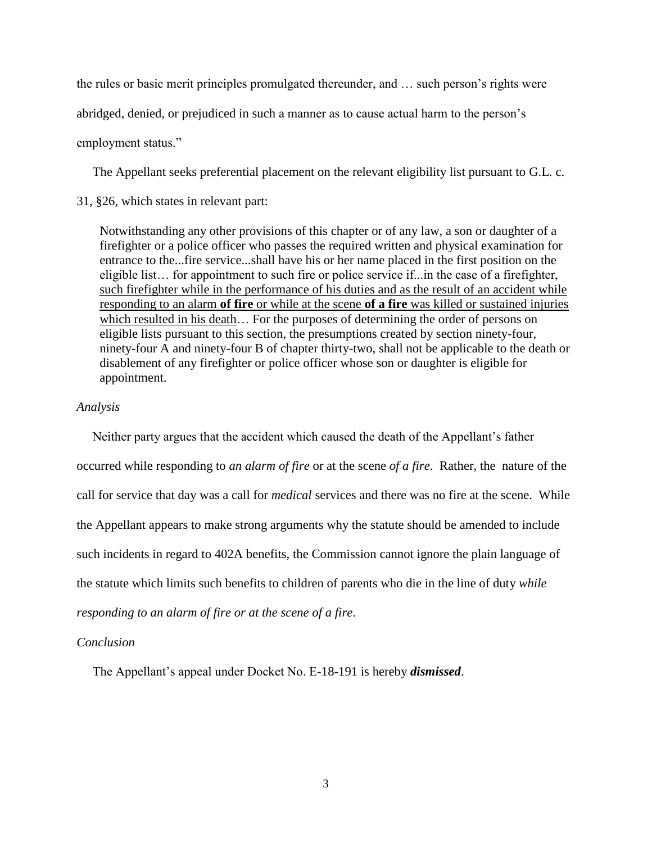the rules or basic merit principles promulgated thereunder, and … such person's rights were

abridged, denied, or prejudiced in such a manner as to cause actual harm to the person's

employment status."

The Appellant seeks preferential placement on the relevant eligibility list pursuant to G.L. c.

31, §26, which states in relevant part:

Notwithstanding any other provisions of this chapter or of any law, a son or daughter of a firefighter or a police officer who passes the required written and physical examination for entrance to the...fire service...shall have his or her name placed in the first position on the eligible list… for appointment to such fire or police service if...in the case of a firefighter, such firefighter while in the performance of his duties and as the result of an accident while responding to an alarm **of fire** or while at the scene **of a fire** was killed or sustained injuries which resulted in his death… For the purposes of determining the order of persons on eligible lists pursuant to this section, the presumptions created by section ninety-four, ninety-four A and ninety-four B of chapter thirty-two, shall not be applicable to the death or disablement of any firefighter or police officer whose son or daughter is eligible for appointment.

#### *Analysis*

 Neither party argues that the accident which caused the death of the Appellant's father occurred while responding to *an alarm of fire* or at the scene *of a fire*. Rather, the nature of the call for service that day was a call for *medical* services and there was no fire at the scene. While the Appellant appears to make strong arguments why the statute should be amended to include such incidents in regard to 402A benefits, the Commission cannot ignore the plain language of the statute which limits such benefits to children of parents who die in the line of duty *while responding to an alarm of fire or at the scene of a fire*.

#### *Conclusion*

The Appellant's appeal under Docket No. E-18-191 is hereby *dismissed*.